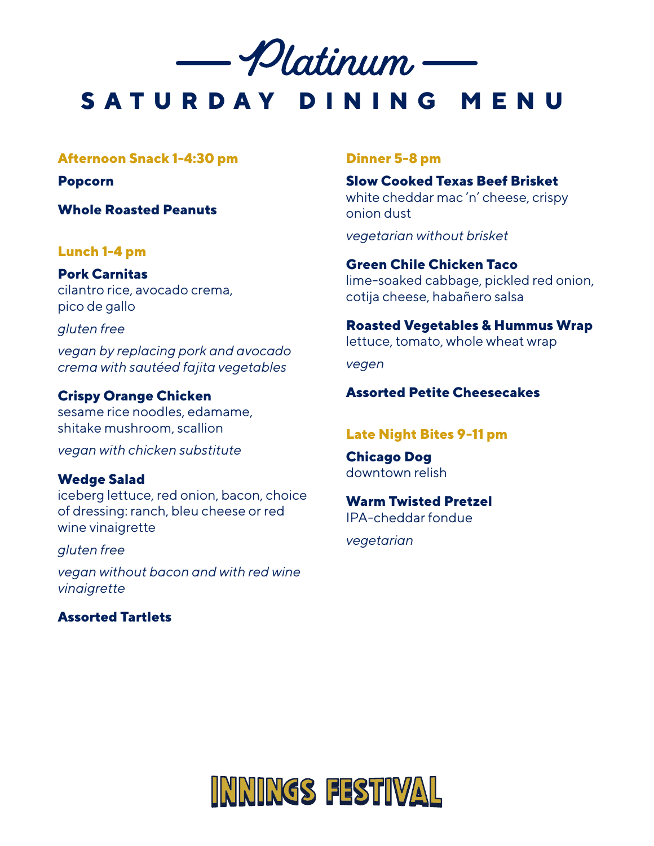

**SATURDAY DINING MENU**

#### **Afternoon Snack 1-4:30 pm**

**Popcorn**

**Whole Roasted Peanuts**

#### **Lunch 1-4 pm**

**Pork Carnitas** cilantro rice, avocado crema, pico de gallo

#### *gluten free*

*vegan by replacing pork and avocado crema with sautéed fajita vegetables*

#### **Crispy Orange Chicken**

sesame rice noodles, edamame, shitake mushroom, scallion

*vegan with chicken substitute*

#### **Wedge Salad**

iceberg lettuce, red onion, bacon, choice of dressing: ranch, bleu cheese or red wine vinaigrette

*gluten free*

*vegan without bacon and with red wine vinaigrette*

# **Assorted Tartlets**

#### **Dinner 5-8 pm**

**Slow Cooked Texas Beef Brisket** white cheddar mac 'n' cheese, crispy onion dust

*vegetarian without brisket*

**Green Chile Chicken Taco** lime-soaked cabbage, pickled red onion, cotija cheese, habañero salsa

**Roasted Vegetables & Hummus Wrap**

lettuce, tomato, whole wheat wrap

*vegen*

# **Assorted Petite Cheesecakes**

#### **Late Night Bites 9-11 pm**

**Chicago Dog** downtown relish

#### **Warm Twisted Pretzel**

IPA-cheddar fondue

*vegetarian*